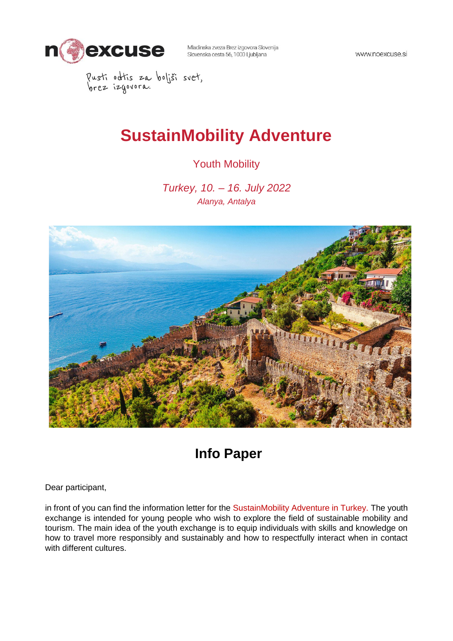

www.noexcuse.si

Pusti odtis za boljši svet,<br>brez izgovora.

# **SustainMobility Adventure**

### Youth Mobility

*Turkey, 10. – 16. July 2022 Alanya, Antalya*



## **Info Paper**

Dear participant,

in front of you can find the information letter for the SustainMobility Adventure in Turkey. The youth exchange is intended for young people who wish to explore the field of sustainable mobility and tourism. The main idea of the youth exchange is to equip individuals with skills and knowledge on how to travel more responsibly and sustainably and how to respectfully interact when in contact with different cultures.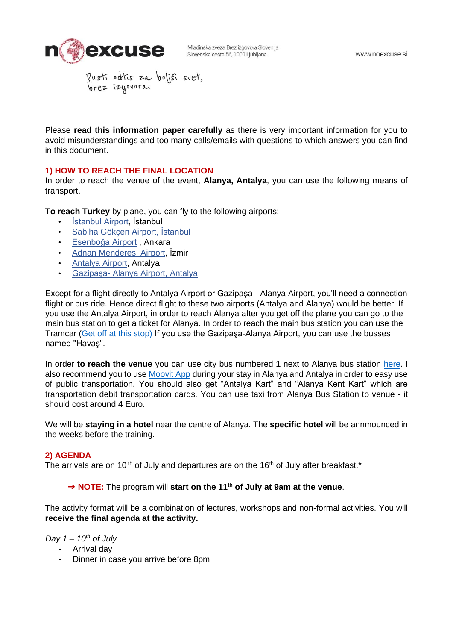

Please **read this information paper carefully** as there is very important information for you to avoid misunderstandings and too many calls/emails with questions to which answers you can find in this document.

#### **1) HOW TO REACH THE FINAL LOCATION**

In order to reach the venue of the event, **Alanya, Antalya**, you can use the following means of transport.

**To reach Turkey** by plane, you can fly to the following airports:

- [İstanbul](https://www.lju-airport.si/sl/) Airport, İstanbul
- [Sabiha Gökçen Airport,](https://www.trevisoairport.it/en/) İstanbul
- [Esenboğa Airport](https://www.veneziaairport.it/en/) , Ankara
- [Adnan Menderes Airport,](https://triesteairport.it/sl/airport/) İzmir
- Antalya Airpor[t,](https://www.zagreb-airport.hr/) Antalya
- Gazipaşa- Alanya Airport, Antalya

Except for a flight directly to Antalya Airport or Gazipaşa - Alanya Airport, you'll need a connection flight or bus ride. Hence direct flight to these two airports (Antalya and Alanya) would be better. If you use the Antalya Airport, in order to reach Alanya after you get off the plane you can go to the main bus station to get a ticket for Alanya. In order to reach the main bus station you can use the Tramcar [\(Get off at this stop\)](https://goo.gl/maps/GjtF4ehKy9wsVVxN7) If you use the Gazipaşa-Alanya Airport, you can use the busses named "Havaş".

In order **to reach the venue** you can use city bus numbered **1** next to Alanya bus station [here.](http://goo.gl/maps/Leu2uU52TrL7K1c49) I also recommend you to use [Moovit App](http://moovitapp.com/) during your stay in Alanya and Antalya in order to easy use of public transportation. You should also get "Antalya Kart" and "Alanya Kent Kart" which are transportation debit transportation cards. You can use taxi from Alanya Bus Station to venue - it should cost around 4 Euro.

We will be **staying in a hotel** near the centre of Alanya. The **specific hotel** will be annmounced in the weeks before the training.

#### **2) AGENDA**

The arrivals are on 10<sup>th</sup> of July and departures are on the 16<sup>th</sup> of July after breakfast.<sup>\*</sup>

#### ➔ **NOTE:** The program will **start on the 11th of July at 9am at the venue**.

The activity format will be a combination of lectures, workshops and non-formal activities. You will **receive the final agenda at the activity.**

*Day 1 – 10th of July*

- Arrival day
- Dinner in case you arrive before 8pm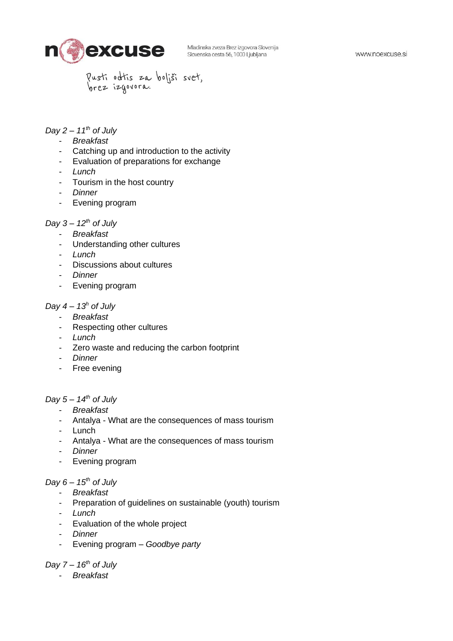Pusti odtis za boljši svet,<br>brez izgovora.

#### *Day 2 – 11th of July*

- *Breakfast*
- Catching up and introduction to the activity
- Evaluation of preparations for exchange
- *Lunch*
- Tourism in the host country
- *Dinner*
- Evening program

#### *Day 3 – 12th of July*

- *Breakfast*
- Understanding other cultures
- *Lunch*
- Discussions about cultures
- *Dinner*
- Evening program

#### *Day 4 – 13<sup>h</sup> of July*

- *Breakfast*
- Respecting other cultures
- *Lunch*
- Zero waste and reducing the carbon footprint
- *Dinner*
- Free evening

#### *Day 5 – 14th of July*

- *Breakfast*
- Antalya What are the consequences of mass tourism
- Lunch
- Antalya What are the consequences of mass tourism
- *Dinner*
- Evening program

#### *Day 6 – 15th of July*

- *Breakfast*
- Preparation of guidelines on sustainable (youth) tourism
- *Lunch*
- Evaluation of the whole project
- *Dinner*
- Evening program *– Goodbye party*

#### *Day 7 – 16th of July*

- *Breakfast*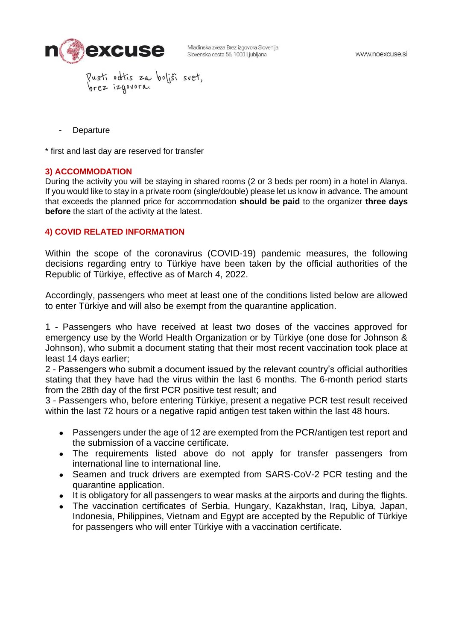

- Pusti odtis za boljši svet,<br>brez izgovora.
- **Departure**

\* first and last day are reserved for transfer

#### **3) ACCOMMODATION**

During the activity you will be staying in shared rooms (2 or 3 beds per room) in a hotel in Alanya. If you would like to stay in a private room (single/double) please let us know in advance. The amount that exceeds the planned price for accommodation **should be paid** to the organizer **three days before** the start of the activity at the latest.

#### **4) COVID RELATED INFORMATION**

Within the scope of the coronavirus (COVID-19) pandemic measures, the following decisions regarding entry to Türkiye have been taken by the official authorities of the Republic of Türkiye, effective as of March 4, 2022.

Accordingly, passengers who meet at least one of the conditions listed below are allowed to enter Türkiye and will also be exempt from the quarantine application.

1 - Passengers who have received at least two doses of the vaccines approved for emergency use by the World Health Organization or by Türkiye (one dose for Johnson & Johnson), who submit a document stating that their most recent vaccination took place at least 14 days earlier;

2 - Passengers who submit a document issued by the relevant country's official authorities stating that they have had the virus within the last 6 months. The 6-month period starts from the 28th day of the first PCR positive test result; and

3 - Passengers who, before entering Türkiye, present a negative PCR test result received within the last 72 hours or a negative rapid antigen test taken within the last 48 hours.

- Passengers under the age of 12 are exempted from the PCR/antigen test report and the submission of a vaccine certificate.
- The requirements listed above do not apply for transfer passengers from international line to international line.
- Seamen and truck drivers are exempted from SARS-CoV-2 PCR testing and the quarantine application.
- It is obligatory for all passengers to wear masks at the airports and during the flights.
- The vaccination certificates of Serbia, Hungary, Kazakhstan, Iraq, Libya, Japan, Indonesia, Philippines, Vietnam and Egypt are accepted by the Republic of Türkiye for passengers who will enter Türkiye with a vaccination certificate.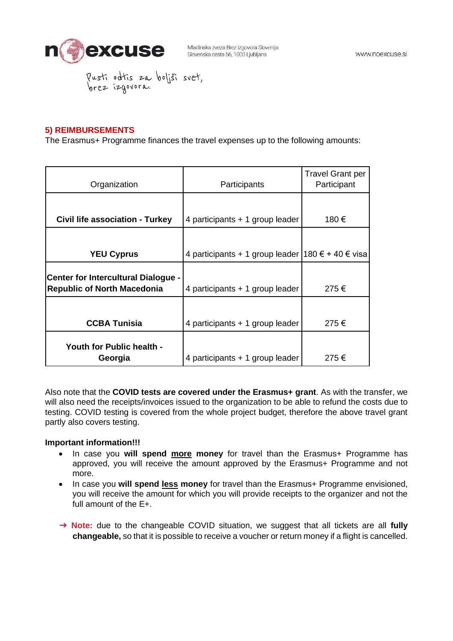

Pusti odtis za boljši svet,<br>brez izgovora.

#### **5) REIMBURSEMENTS**

The Erasmus+ Programme finances the travel expenses up to the following amounts:

| Organization                                                                     | Participants                                        | <b>Travel Grant per</b><br>Participant |
|----------------------------------------------------------------------------------|-----------------------------------------------------|----------------------------------------|
|                                                                                  |                                                     |                                        |
| Civil life association - Turkey                                                  | 4 participants $+1$ group leader                    | 180 €                                  |
|                                                                                  |                                                     |                                        |
| <b>YEU Cyprus</b>                                                                | 4 participants + 1 group leader   180 € + 40 € visa |                                        |
| <b>Center for Intercultural Dialogue -</b><br><b>Republic of North Macedonia</b> | 4 participants $+1$ group leader                    | 275€                                   |
|                                                                                  |                                                     |                                        |
| <b>CCBA Tunisia</b>                                                              | 4 participants $+1$ group leader                    | 275€                                   |
| <b>Youth for Public health -</b><br>Georgia                                      | 4 participants $+1$ group leader                    | 275€                                   |

Also note that the **COVID tests are covered under the Erasmus+ grant**. As with the transfer, we will also need the receipts/invoices issued to the organization to be able to refund the costs due to testing. COVID testing is covered from the whole project budget, therefore the above travel grant partly also covers testing.

#### **Important information!!!**

- In case you **will spend more money** for travel than the Erasmus+ Programme has approved, you will receive the amount approved by the Erasmus+ Programme and not more.
- In case you **will spend less money** for travel than the Erasmus+ Programme envisioned, you will receive the amount for which you will provide receipts to the organizer and not the full amount of the E+.
- ➔ **Note:** due to the changeable COVID situation, we suggest that all tickets are all **fully changeable,** so that it is possible to receive a voucher or return money if a flight is cancelled.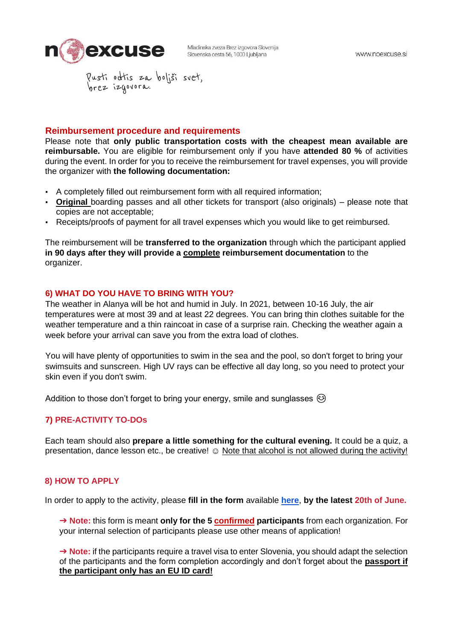

#### **Reimbursement procedure and requirements**

Please note that **only public transportation costs with the cheapest mean available are reimbursable.** You are eligible for reimbursement only if you have **attended 80 %** of activities during the event. In order for you to receive the reimbursement for travel expenses, you will provide the organizer with **the following documentation:** 

- A completely filled out reimbursement form with all required information;
- **Original** boarding passes and all other tickets for transport (also originals) please note that copies are not acceptable;
- Receipts/proofs of payment for all travel expenses which you would like to get reimbursed.

The reimbursement will be **transferred to the organization** through which the participant applied **in 90 days after they will provide a complete reimbursement documentation** to the organizer.

#### **6) WHAT DO YOU HAVE TO BRING WITH YOU?**

The weather in Alanya will be hot and humid in July. In 2021, between 10-16 July, the air temperatures were at most 39 and at least 22 degrees. You can bring thin clothes suitable for the weather temperature and a thin raincoat in case of a surprise rain. Checking the weather again a week before your arrival can save you from the extra load of clothes.

You will have plenty of opportunities to swim in the sea and the pool, so don't forget to bring your swimsuits and sunscreen. High UV rays can be effective all day long, so you need to protect your skin even if you don't swim.

Addition to those don't forget to bring your energy, smile and sunglasses  $\circledcirc$ 

#### **7) PRE-ACTIVITY TO-DOs**

Each team should also **prepare a little something for the cultural evening.** It could be a quiz, a presentation, dance lesson etc., be creative! © Note that alcohol is not allowed during the activity!

#### **8) HOW TO APPLY**

In order to apply to the activity, please **fill in the form** available **[here](https://forms.gle/2vX2omTfWcPqzSQj8)**, **by the latest 20th of June.**

➔ **Note:** this form is meant **only for the 5 confirmed participants** from each organization. For your internal selection of participants please use other means of application!

➔ **Note:** if the participants require a travel visa to enter Slovenia, you should adapt the selection of the participants and the form completion accordingly and don't forget about the **passport if the participant only has an EU ID card!**